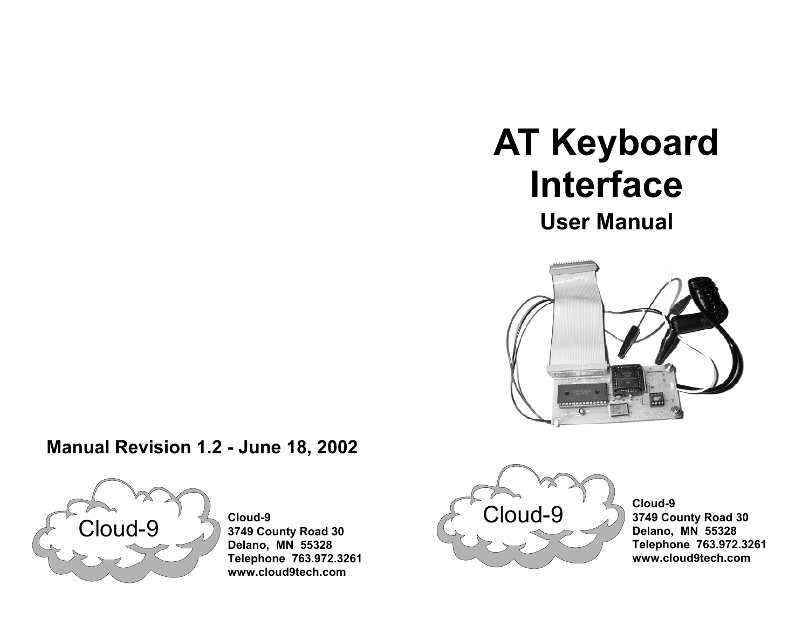# **AT Keyboard Interface**

**User Manual** 



# **Manual Revision 1.2 - June 18, 2002**



 **Cloud-9 3749 County Road 30 Delano, MN 55328 Telephone 763.972.3261 www.cloud9tech.com**



 **Cloud-9 3749 County Road 30 Delano, MN 55328 Telephone 763.972.3261 www.cloud9tech.com**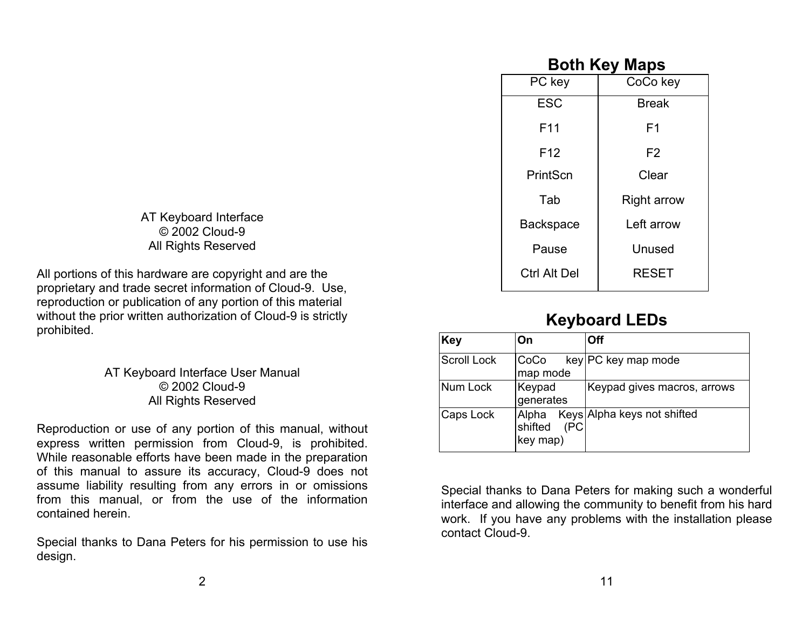AT Keyboard Interface © 2002 Cloud-9 All Rights Reserved

All portions of this hardware are copyright and are the proprietary and trade secret information of Cloud-9. Use, reproduction or publication of any portion of this material without the prior written authorization of Cloud-9 is strictly prohibited.

> AT Keyboard Interface User Manual © 2002 Cloud-9 All Rights Reserved

Reproduction or use of any portion of this manual, without express written permission from Cloud-9, is prohibited. While reasonable efforts have been made in the preparation of this manual to assure its accuracy, Cloud-9 does not assume liability resulting from any errors in or omissions from this manual, or from the use of the information contained herein.

Special thanks to Dana Peters for his permission to use his design.

## **Both Key Maps**

| PC key           | CoCo key           |
|------------------|--------------------|
| <b>ESC</b>       | <b>Break</b>       |
| F11              | F <sub>1</sub>     |
| F <sub>12</sub>  | F <sub>2</sub>     |
| PrintScn         | Clear              |
| Tab              | <b>Right arrow</b> |
| <b>Backspace</b> | Left arrow         |
| Pause            | Unused             |
| Ctrl Alt Del     | <b>RESET</b>       |

## **Keyboard LEDs**

| <b>Key</b>         | On                      | Off                               |
|--------------------|-------------------------|-----------------------------------|
| <b>Scroll Lock</b> | CoCo<br>map mode        | key PC key map mode               |
| Num Lock           | Keypad<br>generates     | Keypad gives macros, arrows       |
| Caps Lock          | shifted (PC<br>key map) | Alpha Keys Alpha keys not shifted |

Special thanks to Dana Peters for making such a wonderful interface and allowing the community to benefit from his hard work. If you have any problems with the installation please contact Cloud-9.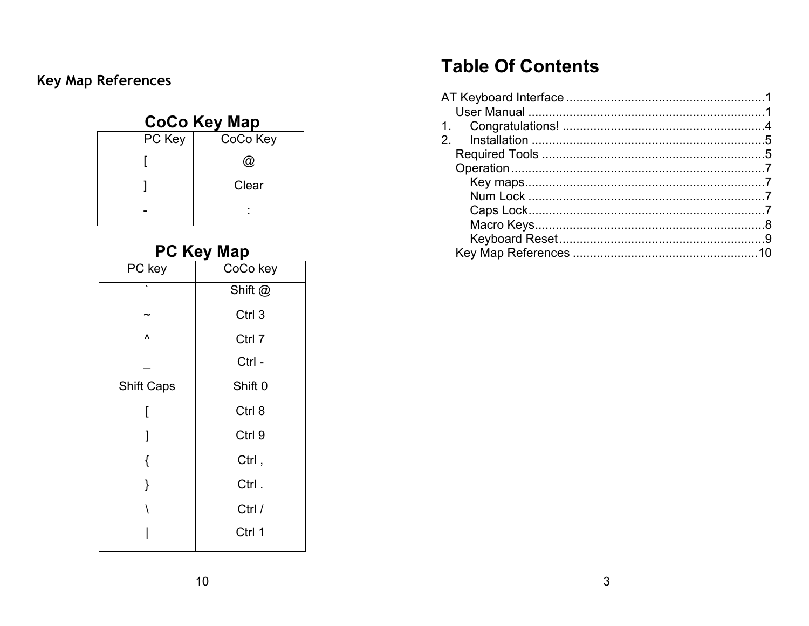# Key Map References

# **CoCo Key Map**

| PC Key | CoCo Key |
|--------|----------|
|        | බ        |
|        | Clear    |
|        |          |

## **PC Key Man**

| PC key            | CoCo key           |
|-------------------|--------------------|
| ◟                 | Shift @            |
|                   | Ctrl 3             |
| Λ                 | Ctrl 7             |
|                   | Ctrl -             |
| <b>Shift Caps</b> | Shift <sub>0</sub> |
| [                 | Ctrl 8             |
| 1                 | Ctrl 9             |
| {                 | Ctrl,              |
| }                 | Ctrl.              |
| Ι                 | Ctrl /             |
|                   | Ctrl 1             |

# **Table Of Contents**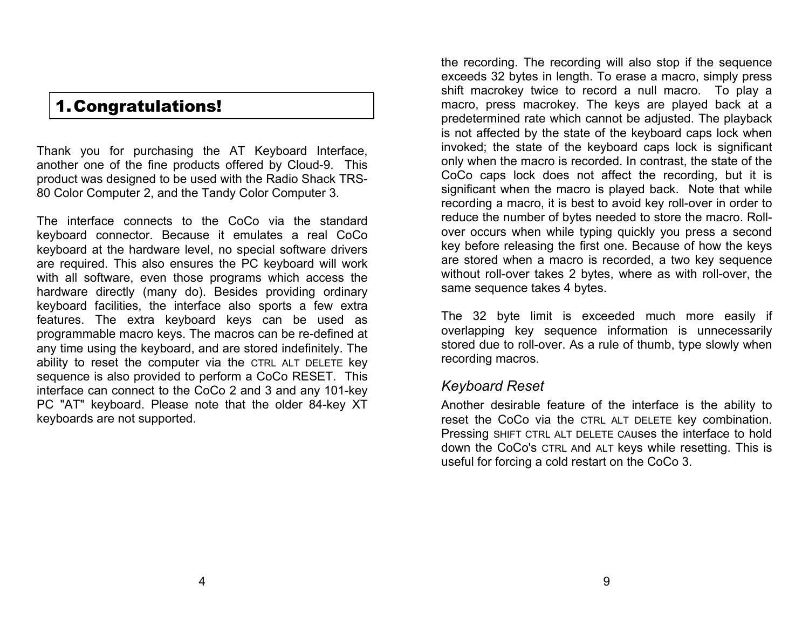# 1.Congratulations!

Thank you for purchasing the AT Keyboard Interface, another one of the fine products offered by Cloud-9. This product was designed to be used with the Radio Shack TRS-80 Color Computer 2, and the Tandy Color Computer 3.

The interface connects to the CoCo via the standard keyboard connector. Because it emulates a real CoCo keyboard at the hardware level, no special software drivers are required. This also ensures the PC keyboard will work with all software, even those programs which access the hardware directly (many do). Besides providing ordinary keyboard facilities, the interface also sports a few extra features. The extra keyboard keys can be used as programmable macro keys. The macros can be re-defined at any time using the keyboard, and are stored indefinitely. The ability to reset the computer via the CTRL ALT DELETE key sequence is also provided to perform a CoCo RESET. This interface can connect to the CoCo 2 and 3 and any 101-key PC "AT" keyboard. Please note that the older 84-key XT keyboards are not supported.

the recording. The recording will also stop if the sequence exceeds 32 bytes in length. To erase a macro, simply press shift macrokey twice to record a null macro. To play a macro, press macrokey. The keys are played back at a predetermined rate which cannot be adjusted. The playback is not affected by the state of the keyboard caps lock when invoked; the state of the keyboard caps lock is significant only when the macro is recorded. In contrast, the state of the CoCo caps lock does not affect the recording, but it is significant when the macro is played back. Note that while recording a macro, it is best to avoid key roll-over in order to reduce the number of bytes needed to store the macro. Rollover occurs when while typing quickly you press a second key before releasing the first one. Because of how the keys are stored when a macro is recorded, a two key sequence without roll-over takes 2 bytes, where as with roll-over, the same sequence takes 4 bytes.

The 32 byte limit is exceeded much more easily if overlapping key sequence information is unnecessarily stored due to roll-over. As a rule of thumb, type slowly when recording macros.

#### *Keyboard Reset*

Another desirable feature of the interface is the ability to reset the CoCo via the CTRL ALT DELETE key combination. Pressing SHIFT CTRL ALT DELETE CAuses the interface to hold down the CoCo's CTRL And ALT keys while resetting. This is useful for forcing a cold restart on the CoCo 3.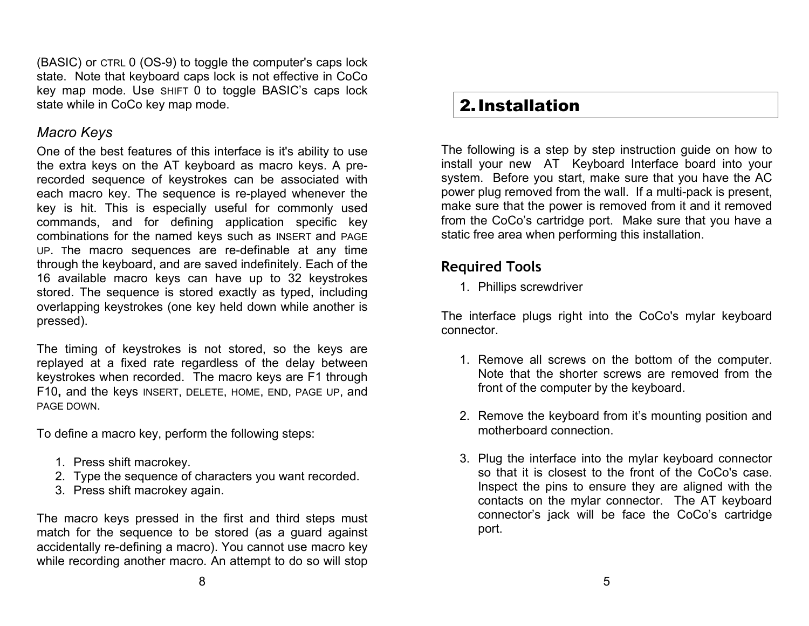(BASIC) or CTRL 0 (OS-9) to toggle the computer's caps lock state. Note that keyboard caps lock is not effective in CoCo key map mode. Use SHIFT 0 to toggle BASIC's caps lock state while in CoCo key map mode.

## *Macro Keys*

One of the best features of this interface is it's ability to use the extra keys on the AT keyboard as macro keys. A prerecorded sequence of keystrokes can be associated with each macro key. The sequence is re-played whenever the key is hit. This is especially useful for commonly used commands, and for defining application specific key combinations for the named keys such as INSERT and PAGE UP. The macro sequences are re-definable at any time through the keyboard, and are saved indefinitely. Each of the 16 available macro keys can have up to 32 keystrokes stored. The sequence is stored exactly as typed, including overlapping keystrokes (one key held down while another is pressed).

The timing of keystrokes is not stored, so the keys are replayed at a fixed rate regardless of the delay between keystrokes when recorded. The macro keys are F1 through F10**,** and the keys INSERT, DELETE, HOME, END, PAGE UP, and PAGE DOWN.

To define a macro key, perform the following steps:

- 1. Press shift macrokey.
- 2. Type the sequence of characters you want recorded.
- 3. Press shift macrokey again.

The macro keys pressed in the first and third steps must match for the sequence to be stored (as a guard against accidentally re-defining a macro). You cannot use macro key while recording another macro. An attempt to do so will stop

## 2.Installation

The following is a step by step instruction guide on how to install your new AT Keyboard Interface board into your system. Before you start, make sure that you have the AC power plug removed from the wall. If a multi-pack is present, make sure that the power is removed from it and it removed from the CoCo's cartridge port. Make sure that you have a static free area when performing this installation.

## **Required Tools**

1. Phillips screwdriver

The interface plugs right into the CoCo's mylar keyboard connector.

- 1. Remove all screws on the bottom of the computer. Note that the shorter screws are removed from the front of the computer by the keyboard.
- 2. Remove the keyboard from it's mounting position and motherboard connection.
- 3. Plug the interface into the mylar keyboard connector so that it is closest to the front of the CoCo's case. Inspect the pins to ensure they are aligned with the contacts on the mylar connector. The AT keyboard connector's jack will be face the CoCo's cartridge port.